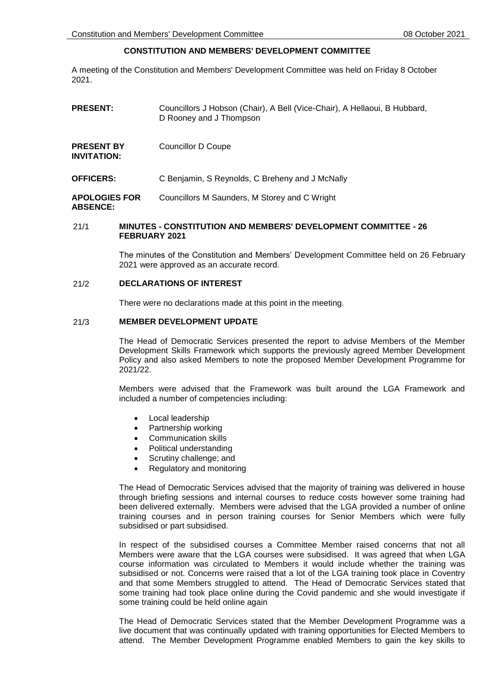# **CONSTITUTION AND MEMBERS' DEVELOPMENT COMMITTEE**

A meeting of the Constitution and Members' Development Committee was held on Friday 8 October 2021.

| <b>PRESENT:</b>                         | Councillors J Hobson (Chair), A Bell (Vice-Chair), A Hellaoui, B Hubbard,<br>D Rooney and J Thompson |
|-----------------------------------------|------------------------------------------------------------------------------------------------------|
| <b>PRESENT BY</b><br>INVITATION:        | Councillor D Coupe                                                                                   |
| <b>OFFICERS:</b>                        | C Benjamin, S Reynolds, C Breheny and J McNally                                                      |
| <b>APOLOGIES FOR</b><br><b>ABSENCE:</b> | Councillors M Saunders, M Storey and C Wright                                                        |

### 21/1 **MINUTES - CONSTITUTION AND MEMBERS' DEVELOPMENT COMMITTEE - 26 FEBRUARY 2021**

The minutes of the Constitution and Members' Development Committee held on 26 February 2021 were approved as an accurate record.

#### 21/2 **DECLARATIONS OF INTEREST**

There were no declarations made at this point in the meeting.

## 21/3 **MEMBER DEVELOPMENT UPDATE**

The Head of Democratic Services presented the report to advise Members of the Member Development Skills Framework which supports the previously agreed Member Development Policy and also asked Members to note the proposed Member Development Programme for 2021/22.

Members were advised that the Framework was built around the LGA Framework and included a number of competencies including:

- Local leadership
- Partnership working
- Communication skills
- Political understanding
- Scrutiny challenge; and
- Regulatory and monitoring

The Head of Democratic Services advised that the majority of training was delivered in house through briefing sessions and internal courses to reduce costs however some training had been delivered externally. Members were advised that the LGA provided a number of online training courses and in person training courses for Senior Members which were fully subsidised or part subsidised.

In respect of the subsidised courses a Committee Member raised concerns that not all Members were aware that the LGA courses were subsidised. It was agreed that when LGA course information was circulated to Members it would include whether the training was subsidised or not. Concerns were raised that a lot of the LGA training took place in Coventry and that some Members struggled to attend. The Head of Democratic Services stated that some training had took place online during the Covid pandemic and she would investigate if some training could be held online again

The Head of Democratic Services stated that the Member Development Programme was a live document that was continually updated with training opportunities for Elected Members to attend. The Member Development Programme enabled Members to gain the key skills to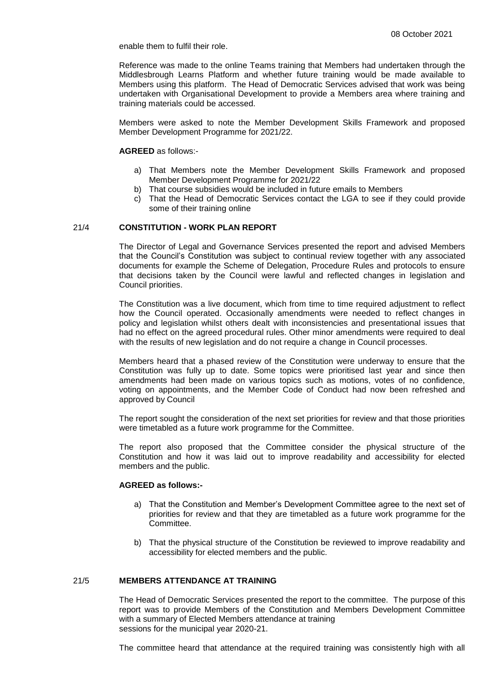enable them to fulfil their role.

Reference was made to the online Teams training that Members had undertaken through the Middlesbrough Learns Platform and whether future training would be made available to Members using this platform. The Head of Democratic Services advised that work was being undertaken with Organisational Development to provide a Members area where training and training materials could be accessed.

Members were asked to note the Member Development Skills Framework and proposed Member Development Programme for 2021/22.

#### **AGREED** as follows:-

- a) That Members note the Member Development Skills Framework and proposed Member Development Programme for 2021/22
- b) That course subsidies would be included in future emails to Members
- c) That the Head of Democratic Services contact the LGA to see if they could provide some of their training online

#### 21/4 **CONSTITUTION - WORK PLAN REPORT**

The Director of Legal and Governance Services presented the report and advised Members that the Council's Constitution was subject to continual review together with any associated documents for example the Scheme of Delegation, Procedure Rules and protocols to ensure that decisions taken by the Council were lawful and reflected changes in legislation and Council priorities.

The Constitution was a live document, which from time to time required adjustment to reflect how the Council operated. Occasionally amendments were needed to reflect changes in policy and legislation whilst others dealt with inconsistencies and presentational issues that had no effect on the agreed procedural rules. Other minor amendments were required to deal with the results of new legislation and do not require a change in Council processes.

Members heard that a phased review of the Constitution were underway to ensure that the Constitution was fully up to date. Some topics were prioritised last year and since then amendments had been made on various topics such as motions, votes of no confidence, voting on appointments, and the Member Code of Conduct had now been refreshed and approved by Council

The report sought the consideration of the next set priorities for review and that those priorities were timetabled as a future work programme for the Committee.

The report also proposed that the Committee consider the physical structure of the Constitution and how it was laid out to improve readability and accessibility for elected members and the public.

#### **AGREED as follows:-**

- a) That the Constitution and Member's Development Committee agree to the next set of priorities for review and that they are timetabled as a future work programme for the Committee.
- b) That the physical structure of the Constitution be reviewed to improve readability and accessibility for elected members and the public.

## 21/5 **MEMBERS ATTENDANCE AT TRAINING**

The Head of Democratic Services presented the report to the committee. The purpose of this report was to provide Members of the Constitution and Members Development Committee with a summary of Elected Members attendance at training sessions for the municipal year 2020-21.

The committee heard that attendance at the required training was consistently high with all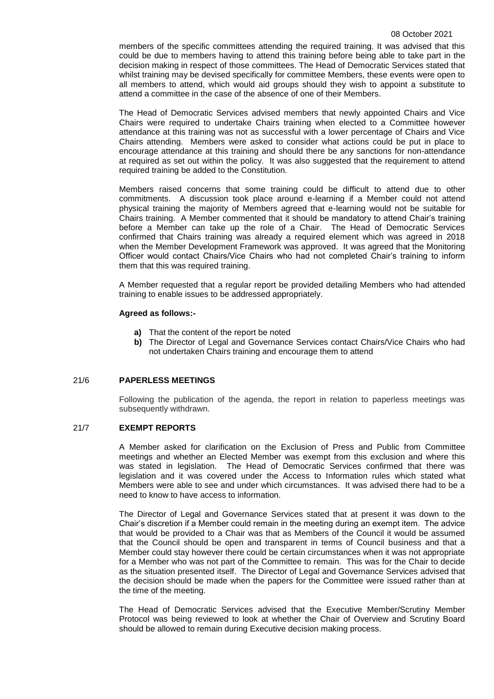#### 08 October 2021

members of the specific committees attending the required training. It was advised that this could be due to members having to attend this training before being able to take part in the decision making in respect of those committees. The Head of Democratic Services stated that whilst training may be devised specifically for committee Members, these events were open to all members to attend, which would aid groups should they wish to appoint a substitute to attend a committee in the case of the absence of one of their Members.

The Head of Democratic Services advised members that newly appointed Chairs and Vice Chairs were required to undertake Chairs training when elected to a Committee however attendance at this training was not as successful with a lower percentage of Chairs and Vice Chairs attending. Members were asked to consider what actions could be put in place to encourage attendance at this training and should there be any sanctions for non-attendance at required as set out within the policy. It was also suggested that the requirement to attend required training be added to the Constitution.

Members raised concerns that some training could be difficult to attend due to other commitments. A discussion took place around e-learning if a Member could not attend physical training the majority of Members agreed that e-learning would not be suitable for Chairs training. A Member commented that it should be mandatory to attend Chair's training before a Member can take up the role of a Chair. The Head of Democratic Services confirmed that Chairs training was already a required element which was agreed in 2018 when the Member Development Framework was approved. It was agreed that the Monitoring Officer would contact Chairs/Vice Chairs who had not completed Chair's training to inform them that this was required training.

A Member requested that a regular report be provided detailing Members who had attended training to enable issues to be addressed appropriately.

#### **Agreed as follows:-**

- **a)** That the content of the report be noted
- **b)** The Director of Legal and Governance Services contact Chairs/Vice Chairs who had not undertaken Chairs training and encourage them to attend

## 21/6 **PAPERLESS MEETINGS**

Following the publication of the agenda, the report in relation to paperless meetings was subsequently withdrawn.

### 21/7 **EXEMPT REPORTS**

A Member asked for clarification on the Exclusion of Press and Public from Committee meetings and whether an Elected Member was exempt from this exclusion and where this was stated in legislation. The Head of Democratic Services confirmed that there was legislation and it was covered under the Access to Information rules which stated what Members were able to see and under which circumstances. It was advised there had to be a need to know to have access to information.

The Director of Legal and Governance Services stated that at present it was down to the Chair's discretion if a Member could remain in the meeting during an exempt item. The advice that would be provided to a Chair was that as Members of the Council it would be assumed that the Council should be open and transparent in terms of Council business and that a Member could stay however there could be certain circumstances when it was not appropriate for a Member who was not part of the Committee to remain. This was for the Chair to decide as the situation presented itself. The Director of Legal and Governance Services advised that the decision should be made when the papers for the Committee were issued rather than at the time of the meeting.

The Head of Democratic Services advised that the Executive Member/Scrutiny Member Protocol was being reviewed to look at whether the Chair of Overview and Scrutiny Board should be allowed to remain during Executive decision making process.